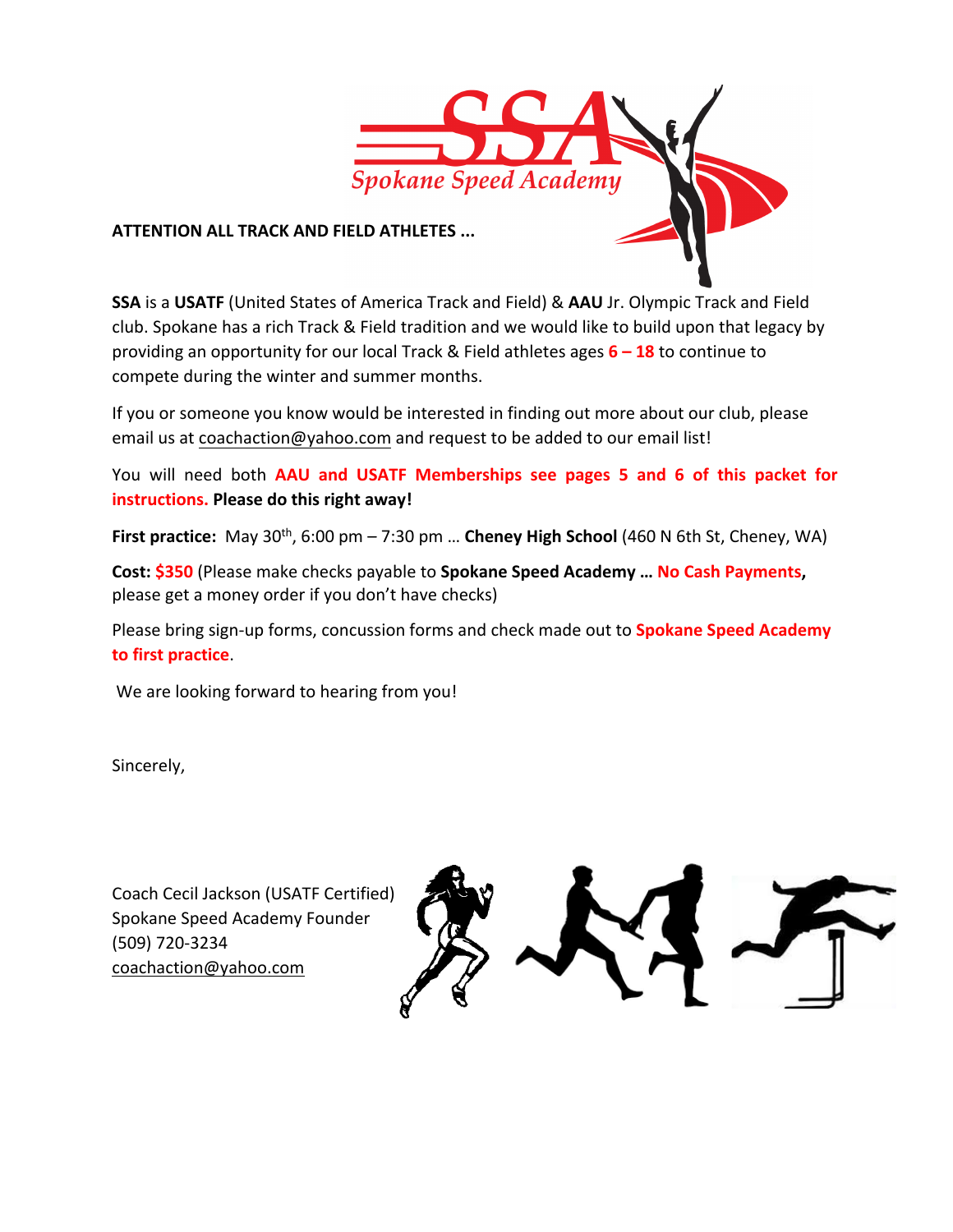

#### **ATTENTION ALL TRACK AND FIELD ATHLETES ...**

**SSA** is a **USATF** (United States of America Track and Field) & **AAU** Jr. Olympic Track and Field club. Spokane has a rich Track & Field tradition and we would like to build upon that legacy by providing an opportunity for our local Track & Field athletes ages **6 – 18** to continue to compete during the winter and summer months.

If you or someone you know would be interested in finding out more about our club, please email us at [coachaction@yahoo.com](mailto:coachaction@yahoo.com) and request to be added to our email list!

You will need both **AAU and USATF Memberships see pages 5 and 6 of this packet for instructions. Please do this right away!** 

First practice: May 30<sup>th</sup>, 6:00 pm - 7:30 pm ... Cheney High School (460 N 6th St, Cheney, WA)

**Cost: \$350** (Please make checks payable to **Spokane Speed Academy … No Cash Payments,**  please get a money order if you don't have checks)

Please bring sign-up forms, concussion forms and check made out to **Spokane Speed Academy to first practice**.

We are looking forward to hearing from you!

Sincerely,

Coach Cecil Jackson (USATF Certified) Spokane Speed Academy Founder (509) 720-3234 [coachaction@yahoo.com](mailto:coachaction@yahoo.com)

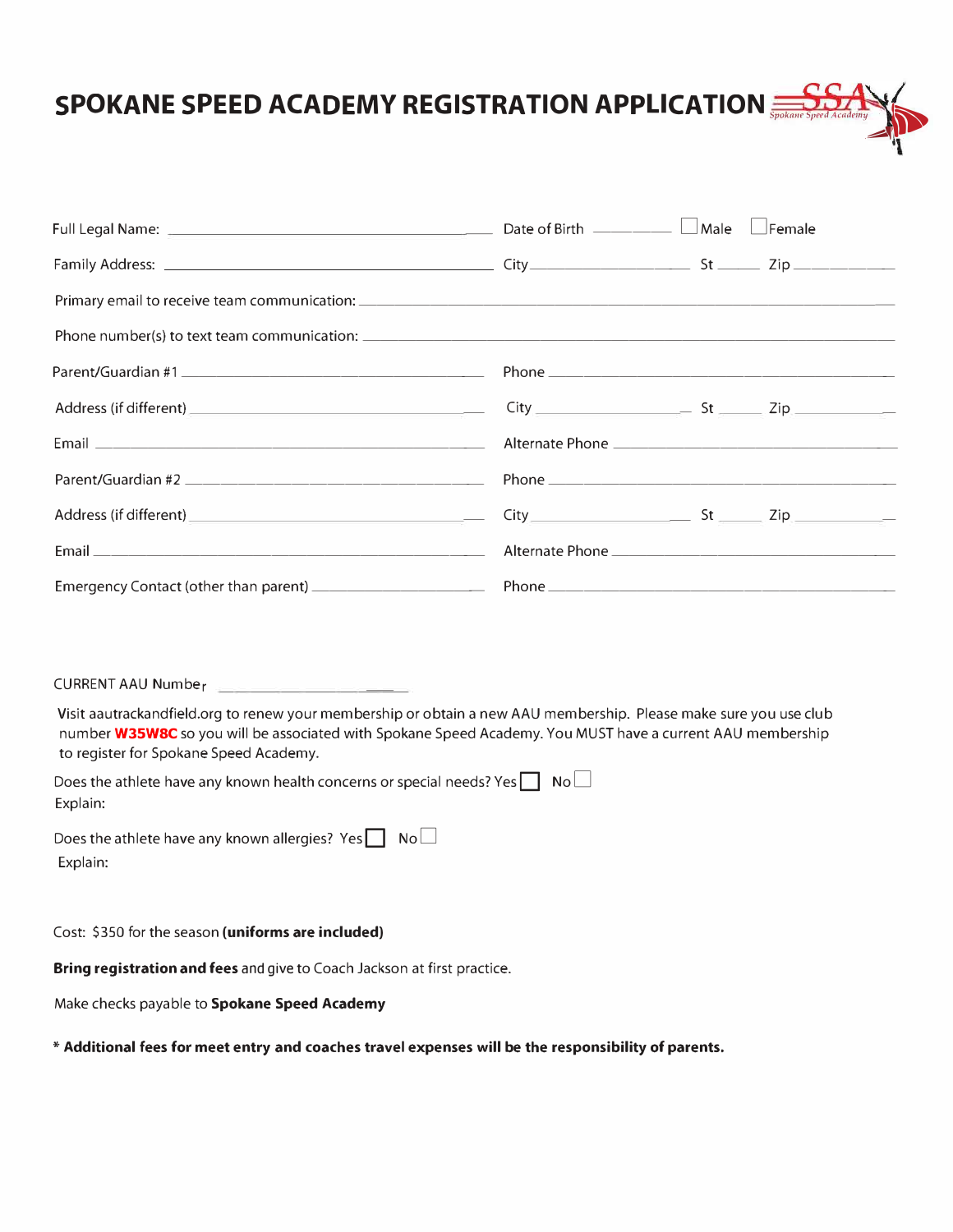SPOKANE SPEED ACADEMY REGISTRATION APPLICATION **Spokane** Speed Acade

�

#### CURRENT AAU Number \_\_\_ \_

Visit aautrackandfield.org to renew your membership or obtain a new AAU membership. Please make sure you use club number **W35W8C** so you will be associated with Spokane Speed Academy. You MUST have a current AAU membership to register for Spokane Speed Academy.

| Does the athlete have any known health concerns or special needs? Yes $\Box$ No $\Box$ |  |
|----------------------------------------------------------------------------------------|--|
| Explain:                                                                               |  |

| Does the athlete have any known allergies? Yes $\Box$ No $\Box$ |  |
|-----------------------------------------------------------------|--|
| Explain:                                                        |  |

Cost: \$350 for the season **{uniforms are included)**

**Bring registration and fees** and give to Coach Jackson at first practice.

Make checks payable to **Spokane Speed Academy**

\* **Additional fees for meet entry and coaches travel expenses will be the responsibility of parents.**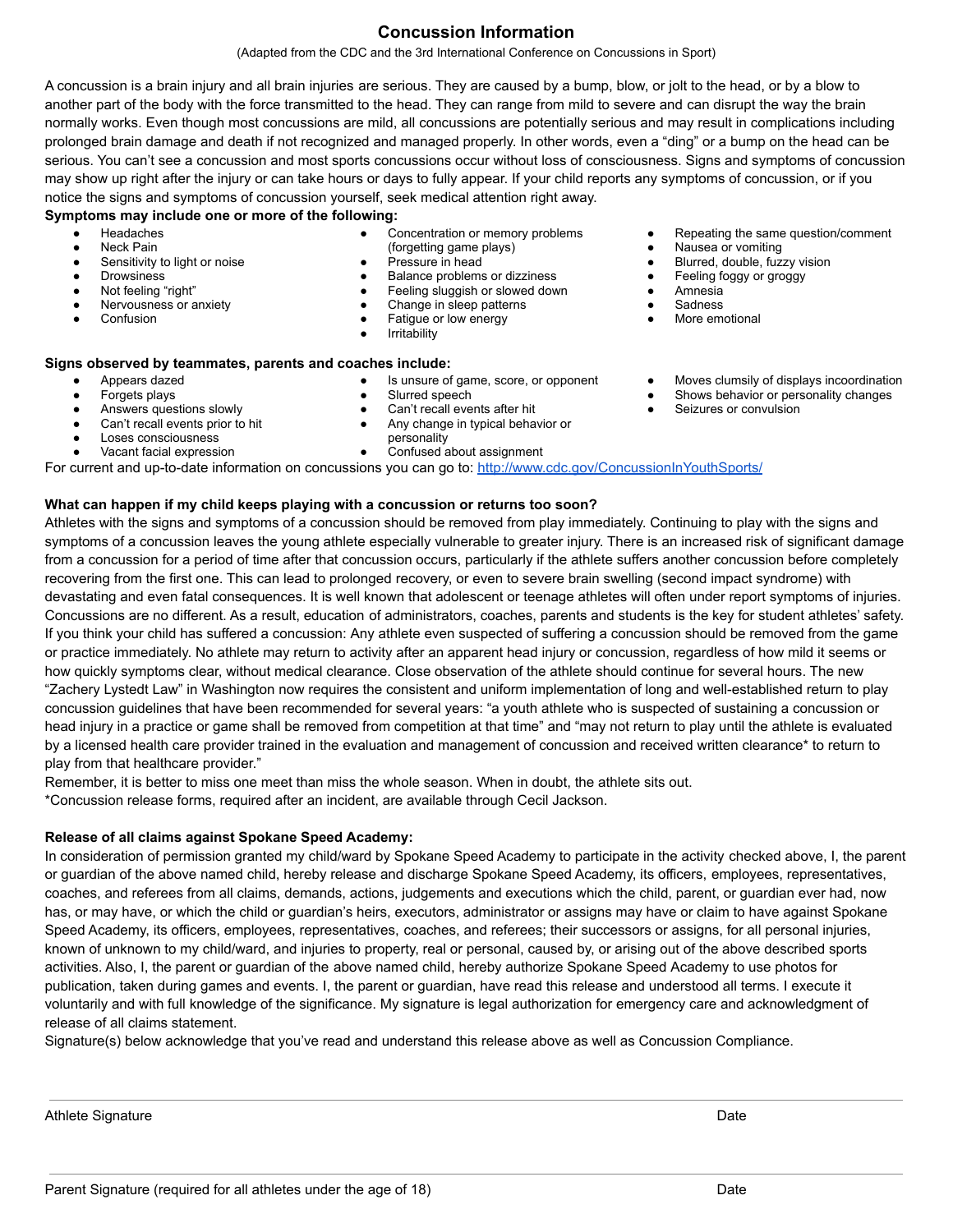#### **Concussion Information**

(Adapted from the CDC and the 3rd International Conference on Concussions in Sport)

A concussion is a brain injury and all brain injuries are serious. They are caused by a bump, blow, or jolt to the head, or by a blow to another part of the body with the force transmitted to the head. They can range from mild to severe and can disrupt the way the brain normally works. Even though most concussions are mild, all concussions are potentially serious and may result in complications including prolonged brain damage and death if not recognized and managed properly. In other words, even a "ding" or a bump on the head can be serious. You can't see a concussion and most sports concussions occur without loss of consciousness. Signs and symptoms of concussion may show up right after the injury or can take hours or days to fully appear. If your child reports any symptoms of concussion, or if you notice the signs and symptoms of concussion yourself, seek medical attention right away.

#### **Symptoms may include one or more of the following:**

- Headaches
- **Neck Pain**
- Sensitivity to light or noise
- Drowsiness
- Not feeling "right"
- Nervousness or anxiety
- Confusion
- Concentration or memory problems
- (forgetting game plays)
- Pressure in head ● Balance problems or dizziness
- 

• Is unsure of game, score, or opponent

- Feeling sluggish or slowed down<br>● Change in sleep patterns Change in sleep patterns
- Fatigue or low energy
- **Irritability**

#### **Signs observed by teammates, parents and coaches include:**

- Appears dazed
- Forgets plays
- Answers questions slowly
- Can't recall events prior to hit
- Loses consciousness
- Vacant facial expression
- Can't recall events after hit ● Any change in typical behavior or
	- personality
	-

• Slurred speech

Confused about assignment For current and up-to-date information on concussions you can go to: <http://www.cdc.gov/ConcussionInYouthSports/>

**What can happen if my child keeps playing with a concussion or returns too soon?** Athletes with the signs and symptoms of a concussion should be removed from play immediately. Continuing to play with the signs and symptoms of a concussion leaves the young athlete especially vulnerable to greater injury. There is an increased risk of significant damage from a concussion for a period of time after that concussion occurs, particularly if the athlete suffers another concussion before completely recovering from the first one. This can lead to prolonged recovery, or even to severe brain swelling (second impact syndrome) with devastating and even fatal consequences. It is well known that adolescent or teenage athletes will often under report symptoms of injuries. Concussions are no different. As a result, education of administrators, coaches, parents and students is the key for student athletes' safety. If you think your child has suffered a concussion: Any athlete even suspected of suffering a concussion should be removed from the game or practice immediately. No athlete may return to activity after an apparent head injury or concussion, regardless of how mild it seems or how quickly symptoms clear, without medical clearance. Close observation of the athlete should continue for several hours. The new "Zachery Lystedt Law" in Washington now requires the consistent and uniform implementation of long and well-established return to play concussion guidelines that have been recommended for several years: "a youth athlete who is suspected of sustaining a concussion or head injury in a practice or game shall be removed from competition at that time" and "may not return to play until the athlete is evaluated by a licensed health care provider trained in the evaluation and management of concussion and received written clearance\* to return to play from that healthcare provider."

Remember, it is better to miss one meet than miss the whole season. When in doubt, the athlete sits out.

\*Concussion release forms, required after an incident, are available through Cecil Jackson.

#### **Release of all claims against Spokane Speed Academy:**

In consideration of permission granted my child/ward by Spokane Speed Academy to participate in the activity checked above, I, the parent or guardian of the above named child, hereby release and discharge Spokane Speed Academy, its officers, employees, representatives, coaches, and referees from all claims, demands, actions, judgements and executions which the child, parent, or guardian ever had, now has, or may have, or which the child or guardian's heirs, executors, administrator or assigns may have or claim to have against Spokane Speed Academy, its officers, employees, representatives, coaches, and referees; their successors or assigns, for all personal injuries, known of unknown to my child/ward, and injuries to property, real or personal, caused by, or arising out of the above described sports activities. Also, I, the parent or guardian of the above named child, hereby authorize Spokane Speed Academy to use photos for publication, taken during games and events. I, the parent or guardian, have read this release and understood all terms. I execute it voluntarily and with full knowledge of the significance. My signature is legal authorization for emergency care and acknowledgment of release of all claims statement.

Signature(s) below acknowledge that you've read and understand this release above as well as Concussion Compliance.

Athlete Signature Date Communication of the Communication of the Communication of the Communication of the Date

- Repeating the same question/comment
- Nausea or vomiting
- Blurred, double, fuzzy vision
- Feeling foggy or groggy
- Amnesia
- Sadness
- More emotional
- Moves clumsily of displays incoordination
- Shows behavior or personality changes
- **•** Seizures or convulsion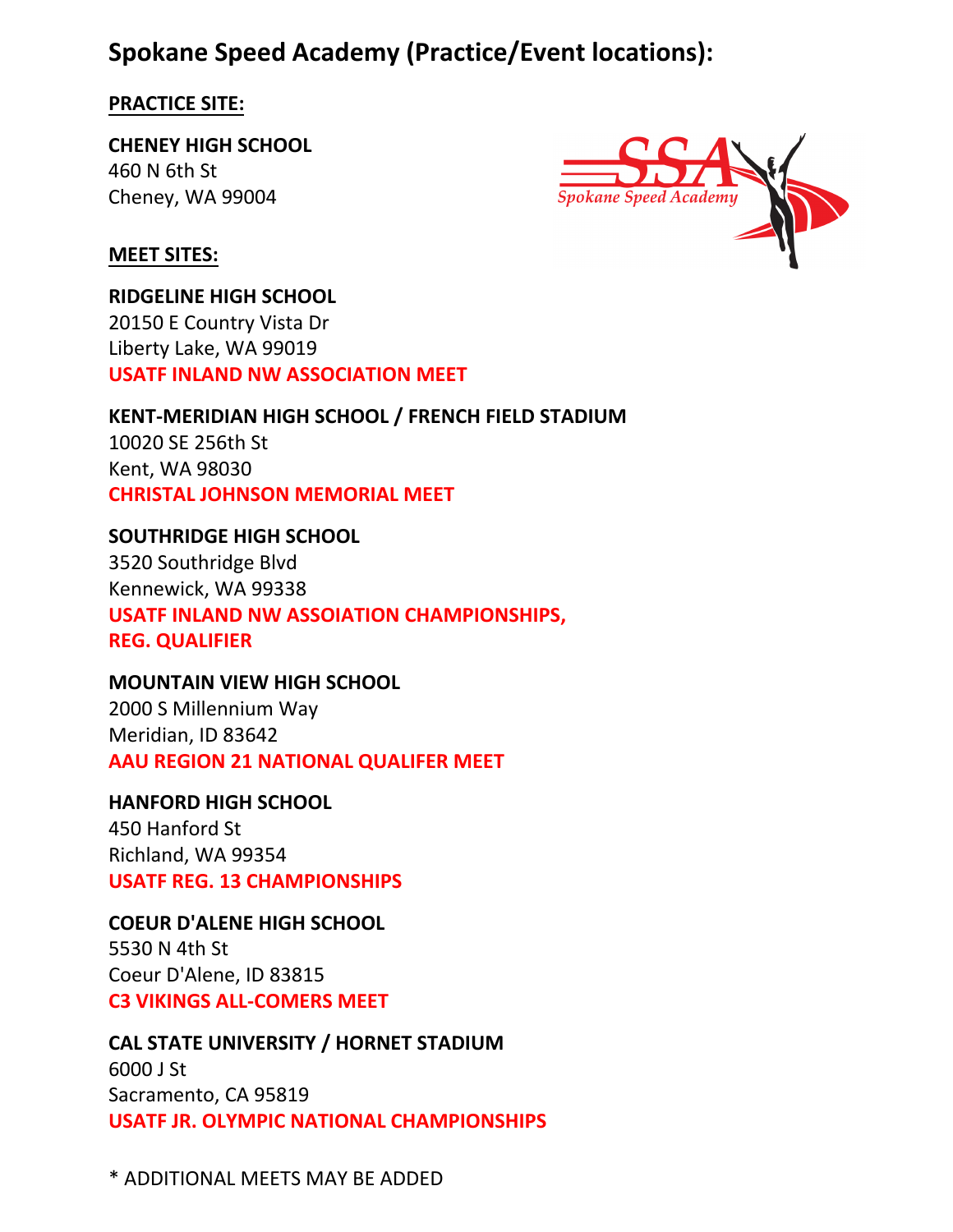## **Spokane Speed Academy (Practice/Event locations):**

#### **PRACTICE SITE:**

**CHENEY HIGH SCHOOL** 460 N 6th St Cheney, WA 99004



#### **MEET SITES:**

**RIDGELINE HIGH SCHOOL** 20150 E Country Vista Dr Liberty Lake, WA 99019 **USATF INLAND NW ASSOCIATION MEET**

### **KENT-MERIDIAN HIGH SCHOOL / FRENCH FIELD STADIUM**

10020 SE 256th St Kent, WA 98030 **CHRISTAL JOHNSON MEMORIAL MEET**

**SOUTHRIDGE HIGH SCHOOL** 3520 Southridge Blvd Kennewick, WA 99338 **USATF INLAND NW ASSOIATION CHAMPIONSHIPS, REG. QUALIFIER**

**MOUNTAIN VIEW HIGH SCHOOL** 2000 S Millennium Way Meridian, ID 83642 **AAU REGION 21 NATIONAL QUALIFER MEET**

**HANFORD HIGH SCHOOL**

450 Hanford St Richland, WA 99354 **USATF REG. 13 CHAMPIONSHIPS**

### **COEUR D'ALENE HIGH SCHOOL**

5530 N 4th St Coeur D'Alene, ID 83815 **C3 VIKINGS ALL-COMERS MEET**

### **CAL STATE UNIVERSITY / HORNET STADIUM**

6000 J St Sacramento, CA 95819 **USATF JR. OLYMPIC NATIONAL CHAMPIONSHIPS** 

\* ADDITIONAL MEETS MAY BE ADDED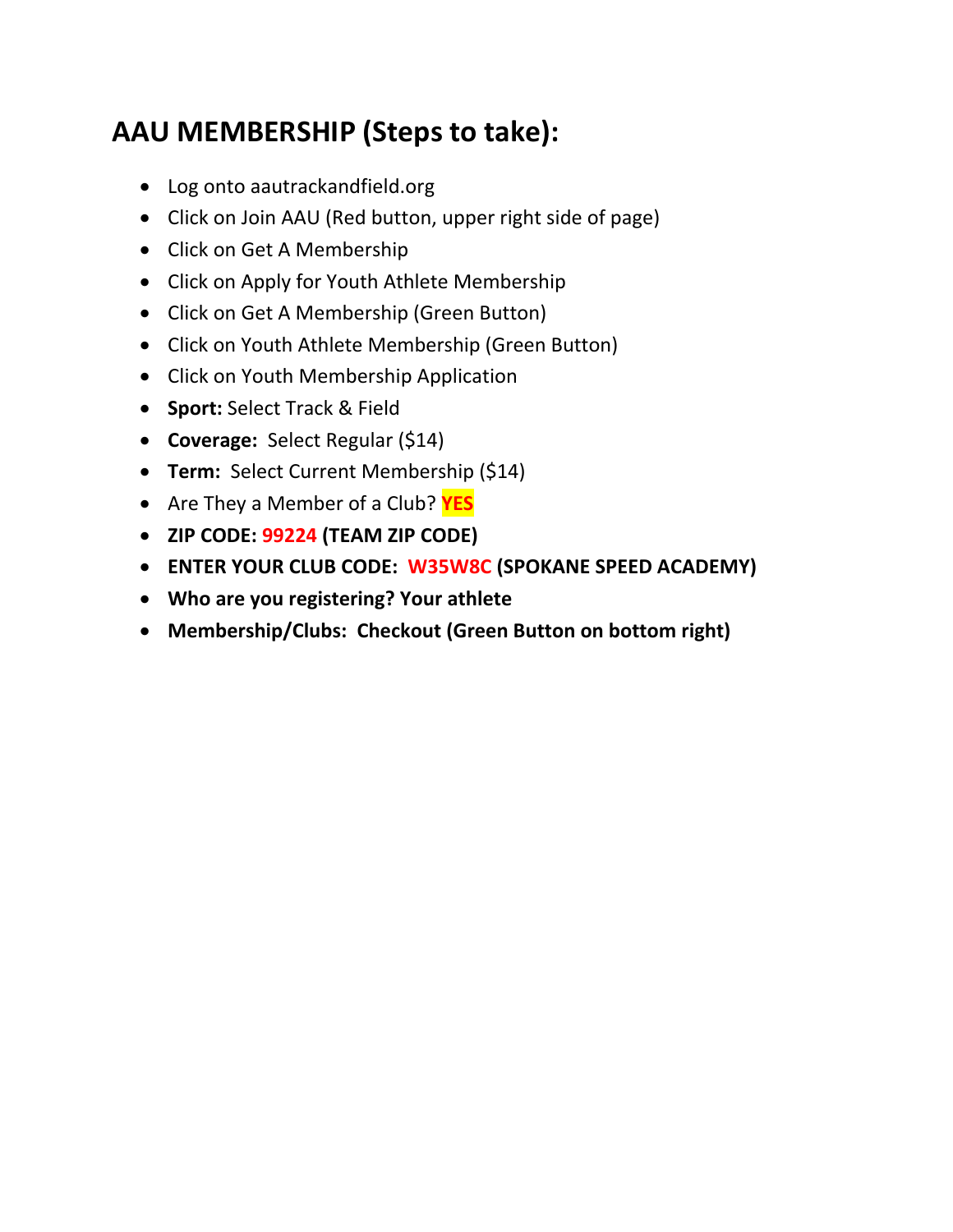## **AAU MEMBERSHIP (Steps to take):**

- Log onto aautrackandfield.org
- Click on Join AAU (Red button, upper right side of page)
- Click on Get A Membership
- Click on Apply for Youth Athlete Membership
- Click on Get A Membership (Green Button)
- Click on Youth Athlete Membership (Green Button)
- Click on Youth Membership Application
- **Sport:** Select Track & Field
- **Coverage:** Select Regular (\$14)
- **Term:** Select Current Membership (\$14)
- Are They a Member of a Club? **YES**
- **ZIP CODE: 99224 (TEAM ZIP CODE)**
- **ENTER YOUR CLUB CODE: W35W8C (SPOKANE SPEED ACADEMY)**
- **Who are you registering? Your athlete**
- **Membership/Clubs: Checkout (Green Button on bottom right)**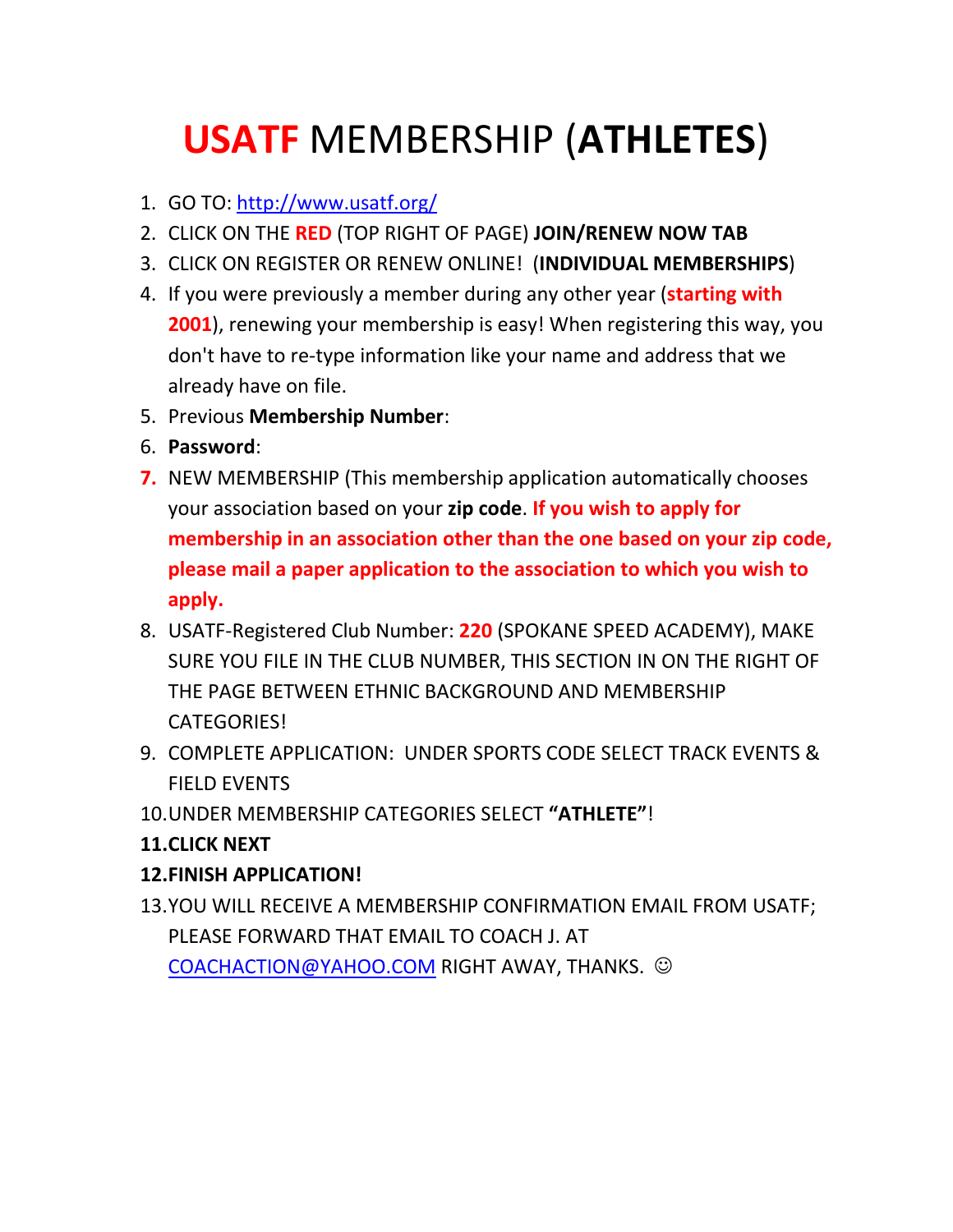## **USATF** MEMBERSHIP (**ATHLETES**)

- 1. GO TO:<http://www.usatf.org/>
- 2. CLICK ON THE **RED** (TOP RIGHT OF PAGE) **JOIN/RENEW NOW TAB**
- 3. CLICK ON REGISTER OR RENEW ONLINE! (**INDIVIDUAL MEMBERSHIPS**)
- 4. If you were previously a member during any other year (**starting with 2001**), renewing your membership is easy! When registering this way, you don't have to re-type information like your name and address that we already have on file.
- 5. Previous **Membership Number**:
- 6. **Password**:
- **7.** NEW MEMBERSHIP (This membership application automatically chooses your association based on your **zip code**. **If you wish to apply for membership in an association other than the one based on your zip code, please mail a paper application to the association to which you wish to apply.**
- 8. USATF-Registered Club Number: **220** (SPOKANE SPEED ACADEMY), MAKE SURE YOU FILE IN THE CLUB NUMBER, THIS SECTION IN ON THE RIGHT OF THE PAGE BETWEEN ETHNIC BACKGROUND AND MEMBERSHIP CATEGORIES!
- 9. COMPLETE APPLICATION: UNDER SPORTS CODE SELECT TRACK EVENTS & FIELD EVENTS
- 10.UNDER MEMBERSHIP CATEGORIES SELECT **"ATHLETE"**!
- **11.CLICK NEXT**

## **12.FINISH APPLICATION!**

13.YOU WILL RECEIVE A MEMBERSHIP CONFIRMATION EMAIL FROM USATF; PLEASE FORWARD THAT EMAIL TO COACH J. AT [COACHACTION@YAHOO.COM](mailto:COACHACTION@YAHOO.COM) RIGHT AWAY, THANKS.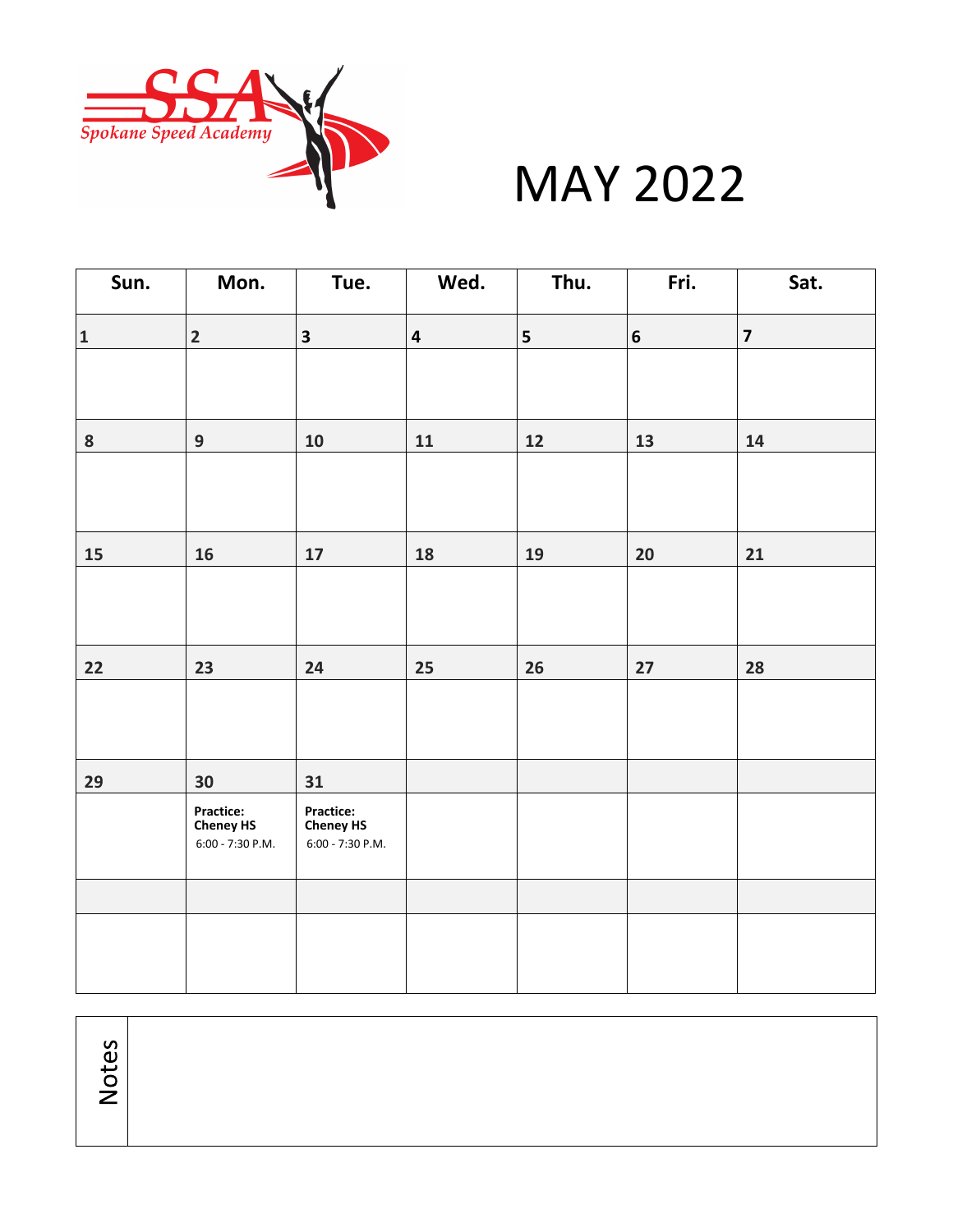

## MAY 2022

| Sun.         | Mon.                                                     | Tue.                                              | Wed.                    | Thu.                    | Fri.             | Sat.                    |
|--------------|----------------------------------------------------------|---------------------------------------------------|-------------------------|-------------------------|------------------|-------------------------|
| $\mathbf{1}$ | $\overline{\mathbf{2}}$                                  | $\overline{\mathbf{3}}$                           | $\overline{\mathbf{4}}$ | $\overline{\mathbf{5}}$ | $\boldsymbol{6}$ | $\overline{\mathbf{z}}$ |
|              |                                                          |                                                   |                         |                         |                  |                         |
| $\bf{8}$     | 9                                                        | 10                                                | 11                      | 12                      | 13               | 14                      |
|              |                                                          |                                                   |                         |                         |                  |                         |
| 15           | 16                                                       | 17                                                | 18                      | 19                      | 20               | 21                      |
|              |                                                          |                                                   |                         |                         |                  |                         |
| 22           | 23                                                       | 24                                                | 25                      | 26                      | 27               | 28                      |
|              |                                                          |                                                   |                         |                         |                  |                         |
| 29           | 30                                                       | 31                                                |                         |                         |                  |                         |
|              | <b>Practice:</b><br><b>Cheney HS</b><br>6:00 - 7:30 P.M. | Practice:<br><b>Cheney HS</b><br>6:00 - 7:30 P.M. |                         |                         |                  |                         |
|              |                                                          |                                                   |                         |                         |                  |                         |
|              |                                                          |                                                   |                         |                         |                  |                         |

| v |  |
|---|--|
| d |  |
|   |  |
|   |  |
|   |  |
|   |  |
|   |  |
|   |  |
|   |  |
|   |  |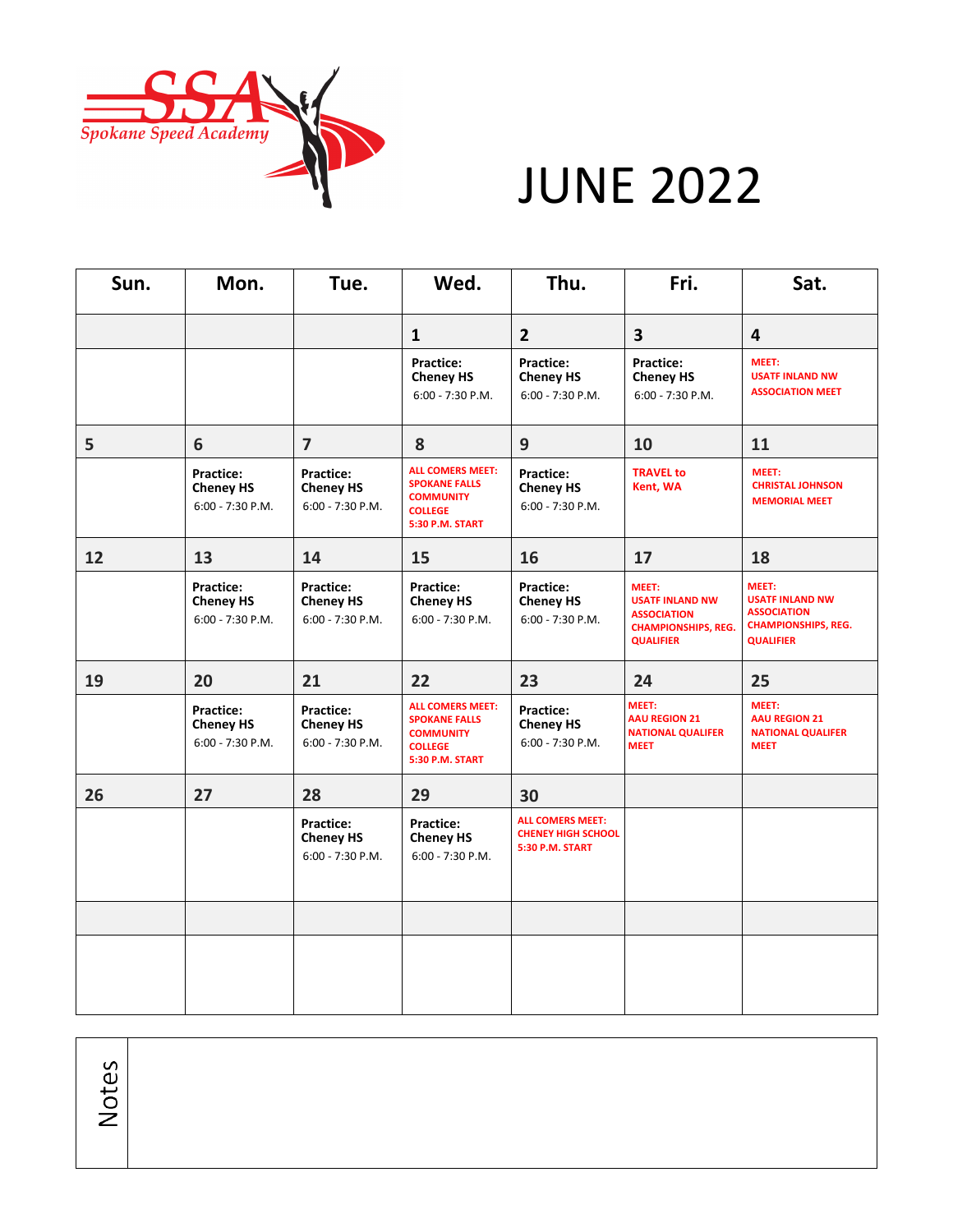

# JUNE 2022

| Sun. | Mon.                                                       | Tue.                                                       | Wed.                                                                                                            | Thu.                                                                           | Fri.                                                                                                    | Sat.                                                                                                    |
|------|------------------------------------------------------------|------------------------------------------------------------|-----------------------------------------------------------------------------------------------------------------|--------------------------------------------------------------------------------|---------------------------------------------------------------------------------------------------------|---------------------------------------------------------------------------------------------------------|
|      |                                                            |                                                            | $\mathbf{1}$                                                                                                    | $2^{\circ}$                                                                    | $\overline{\mathbf{3}}$                                                                                 | $\overline{\mathbf{4}}$                                                                                 |
|      |                                                            |                                                            | Practice:<br><b>Cheney HS</b><br>6:00 - 7:30 P.M.                                                               | <b>Practice:</b><br><b>Cheney HS</b><br>6:00 - 7:30 P.M.                       | <b>Practice:</b><br><b>Cheney HS</b><br>$6:00 - 7:30 P.M.$                                              | MEET:<br><b>USATF INLAND NW</b><br><b>ASSOCIATION MEET</b>                                              |
| 5    | 6                                                          | $\overline{7}$                                             | 8                                                                                                               | 9                                                                              | 10                                                                                                      | 11                                                                                                      |
|      | Practice:<br><b>Cheney HS</b><br>$6:00 - 7:30$ P.M.        | Practice:<br><b>Cheney HS</b><br>$6:00 - 7:30 P.M.$        | <b>ALL COMERS MEET:</b><br><b>SPOKANE FALLS</b><br><b>COMMUNITY</b><br><b>COLLEGE</b><br><b>5:30 P.M. START</b> | <b>Practice:</b><br><b>Cheney HS</b><br>6:00 - 7:30 P.M.                       | <b>TRAVEL to</b><br>Kent, WA                                                                            | MEET:<br><b>CHRISTAL JOHNSON</b><br><b>MEMORIAL MEET</b>                                                |
| 12   | 13                                                         | 14                                                         | 15                                                                                                              | 16                                                                             | 17                                                                                                      | 18                                                                                                      |
|      | Practice:<br><b>Cheney HS</b><br>$6:00 - 7:30 P.M.$        | <b>Practice:</b><br><b>Cheney HS</b><br>$6:00 - 7:30 P.M.$ | <b>Practice:</b><br><b>Cheney HS</b><br>$6:00 - 7:30 P.M.$                                                      | <b>Practice:</b><br><b>Cheney HS</b><br>$6:00 - 7:30 P.M.$                     | MEET:<br><b>USATF INLAND NW</b><br><b>ASSOCIATION</b><br><b>CHAMPIONSHIPS, REG.</b><br><b>QUALIFIER</b> | MEET:<br><b>USATF INLAND NW</b><br><b>ASSOCIATION</b><br><b>CHAMPIONSHIPS, REG.</b><br><b>QUALIFIER</b> |
| 19   | 20                                                         | 21                                                         | 22                                                                                                              | 23                                                                             | 24                                                                                                      | 25                                                                                                      |
|      | <b>Practice:</b><br><b>Cheney HS</b><br>$6:00 - 7:30$ P.M. | <b>Practice:</b><br><b>Cheney HS</b><br>$6:00 - 7:30 P.M.$ | <b>ALL COMERS MEET:</b><br><b>SPOKANE FALLS</b><br><b>COMMUNITY</b><br><b>COLLEGE</b><br><b>5:30 P.M. START</b> | <b>Practice:</b><br><b>Cheney HS</b><br>$6:00 - 7:30 P.M.$                     | MEET:<br><b>AAU REGION 21</b><br><b>NATIONAL QUALIFER</b><br><b>MEET</b>                                | MEET:<br><b>AAU REGION 21</b><br><b>NATIONAL QUALIFER</b><br><b>MEET</b>                                |
| 26   | 27                                                         | 28                                                         | 29                                                                                                              | 30                                                                             |                                                                                                         |                                                                                                         |
|      |                                                            | <b>Practice:</b><br><b>Cheney HS</b><br>$6:00 - 7:30 P.M.$ | <b>Practice:</b><br><b>Cheney HS</b><br>$6:00 - 7:30 P.M.$                                                      | <b>ALL COMERS MEET:</b><br><b>CHENEY HIGH SCHOOL</b><br><b>5:30 P.M. START</b> |                                                                                                         |                                                                                                         |
|      |                                                            |                                                            |                                                                                                                 |                                                                                |                                                                                                         |                                                                                                         |
|      |                                                            |                                                            |                                                                                                                 |                                                                                |                                                                                                         |                                                                                                         |

| ∽ |  |
|---|--|
|   |  |